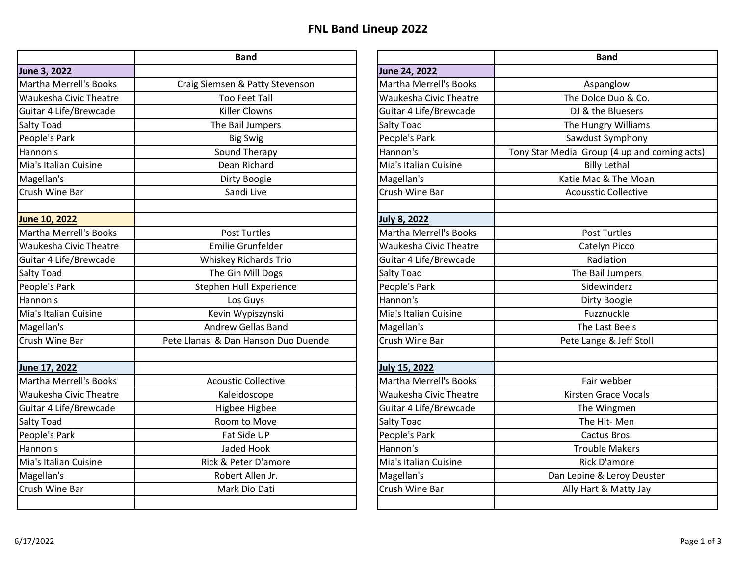## **FNL Band Lineup 2022**

|                               | <b>Band</b>                         |                               | <b>Band</b>                                  |
|-------------------------------|-------------------------------------|-------------------------------|----------------------------------------------|
| June 3, 2022                  |                                     | June 24, 2022                 |                                              |
| Martha Merrell's Books        | Craig Siemsen & Patty Stevenson     | Martha Merrell's Books        | Aspanglow                                    |
| <b>Waukesha Civic Theatre</b> | <b>Too Feet Tall</b>                | <b>Waukesha Civic Theatre</b> | The Dolce Duo & Co.                          |
| Guitar 4 Life/Brewcade        | <b>Killer Clowns</b>                | Guitar 4 Life/Brewcade        | DJ & the Bluesers                            |
| <b>Salty Toad</b>             | The Bail Jumpers                    | Salty Toad                    | The Hungry Williams                          |
| People's Park                 | <b>Big Swig</b>                     | People's Park                 | Sawdust Symphony                             |
| Hannon's                      | Sound Therapy                       | Hannon's                      | Tony Star Media Group (4 up and coming acts) |
| Mia's Italian Cuisine         | Dean Richard                        | Mia's Italian Cuisine         | <b>Billy Lethal</b>                          |
| Magellan's                    | Dirty Boogie                        | Magellan's                    | Katie Mac & The Moan                         |
| Crush Wine Bar                | Sandi Live                          | Crush Wine Bar                | <b>Acousstic Collective</b>                  |
| June 10, 2022                 |                                     | <b>July 8, 2022</b>           |                                              |
| Martha Merrell's Books        | <b>Post Turtles</b>                 | Martha Merrell's Books        | <b>Post Turtles</b>                          |
| <b>Waukesha Civic Theatre</b> | <b>Emilie Grunfelder</b>            | <b>Waukesha Civic Theatre</b> | Catelyn Picco                                |
| Guitar 4 Life/Brewcade        | Whiskey Richards Trio               | Guitar 4 Life/Brewcade        | Radiation                                    |
| <b>Salty Toad</b>             | The Gin Mill Dogs                   | <b>Salty Toad</b>             | The Bail Jumpers                             |
| People's Park                 | Stephen Hull Experience             | People's Park                 | Sidewinderz                                  |
| Hannon's                      | Los Guys                            | Hannon's                      | Dirty Boogie                                 |
| Mia's Italian Cuisine         | Kevin Wypiszynski                   | Mia's Italian Cuisine         | Fuzznuckle                                   |
| Magellan's                    | <b>Andrew Gellas Band</b>           | Magellan's                    | The Last Bee's                               |
| Crush Wine Bar                | Pete Llanas & Dan Hanson Duo Duende | Crush Wine Bar                | Pete Lange & Jeff Stoll                      |
| June 17, 2022                 |                                     | <b>July 15, 2022</b>          |                                              |
| Martha Merrell's Books        | <b>Acoustic Collective</b>          | Martha Merrell's Books        | Fair webber                                  |
| <b>Waukesha Civic Theatre</b> | Kaleidoscope                        | Waukesha Civic Theatre        | Kirsten Grace Vocals                         |
| Guitar 4 Life/Brewcade        | Higbee Higbee                       | Guitar 4 Life/Brewcade        | The Wingmen                                  |
| <b>Salty Toad</b>             | Room to Move                        | <b>Salty Toad</b>             | The Hit-Men                                  |
| People's Park                 | Fat Side UP                         | People's Park                 | Cactus Bros.                                 |
| Hannon's                      | Jaded Hook                          | Hannon's                      | <b>Trouble Makers</b>                        |
| Mia's Italian Cuisine         | Rick & Peter D'amore                | Mia's Italian Cuisine         | <b>Rick D'amore</b>                          |
| Magellan's                    | Robert Allen Jr.                    | Magellan's                    | Dan Lepine & Leroy Deuster                   |
| Crush Wine Bar                | Mark Dio Dati                       | Crush Wine Bar                | Ally Hart & Matty Jay                        |
|                               |                                     |                               |                                              |

| <b>Band</b>            |                               | <b>Band</b>                                  |
|------------------------|-------------------------------|----------------------------------------------|
|                        | June 24, 2022                 |                                              |
| & Patty Stevenson      | <b>Martha Merrell's Books</b> | Aspanglow                                    |
| <b>Feet Tall</b>       | <b>Waukesha Civic Theatre</b> | The Dolce Duo & Co.                          |
| r Clowns               | Guitar 4 Life/Brewcade        | DJ & the Bluesers                            |
| ail Jumpers            | <b>Salty Toad</b>             | The Hungry Williams                          |
| ig Swig                | People's Park                 | Sawdust Symphony                             |
| d Therapy              | Hannon's                      | Tony Star Media Group (4 up and coming acts) |
| n Richard              | Mia's Italian Cuisine         | <b>Billy Lethal</b>                          |
| y Boogie               | Magellan's                    | Katie Mac & The Moan                         |
| ndi Live               | Crush Wine Bar                | <b>Acousstic Collective</b>                  |
|                        | July 8, 2022                  |                                              |
| t Turtles              | <b>Martha Merrell's Books</b> | Post Turtles                                 |
| Grunfelder             | <b>Waukesha Civic Theatre</b> | Catelyn Picco                                |
| <b>Richards Trio</b>   | Guitar 4 Life/Brewcade        | Radiation                                    |
| n Mill Dogs            | Salty Toad                    | The Bail Jumpers                             |
| <b>Hull Experience</b> | People's Park                 | Sidewinderz                                  |
| os Guys                | Hannon's                      | Dirty Boogie                                 |
| <b>Nypiszynski</b>     | Mia's Italian Cuisine         | Fuzznuckle                                   |
| Gellas Band            | Magellan's                    | The Last Bee's                               |
| n Hanson Duo Duende    | Crush Wine Bar                | Pete Lange & Jeff Stoll                      |
|                        | <b>July 15, 2022</b>          |                                              |
| ic Collective          | <b>Martha Merrell's Books</b> | Fair webber                                  |
| idoscope               | <b>Waukesha Civic Theatre</b> | <b>Kirsten Grace Vocals</b>                  |
| ee Higbee              | Guitar 4 Life/Brewcade        | The Wingmen                                  |
| n to Move              | Salty Toad                    | The Hit-Men                                  |
| Side UP                | People's Park                 | Cactus Bros.                                 |
| ed Hook                | Hannon's                      | <b>Trouble Makers</b>                        |
| eter D'amore           | Mia's Italian Cuisine         | Rick D'amore                                 |
| rt Allen Jr.           | Magellan's                    | Dan Lepine & Leroy Deuster                   |
| k Dio Dati             | Crush Wine Bar                | Ally Hart & Matty Jay                        |
|                        |                               |                                              |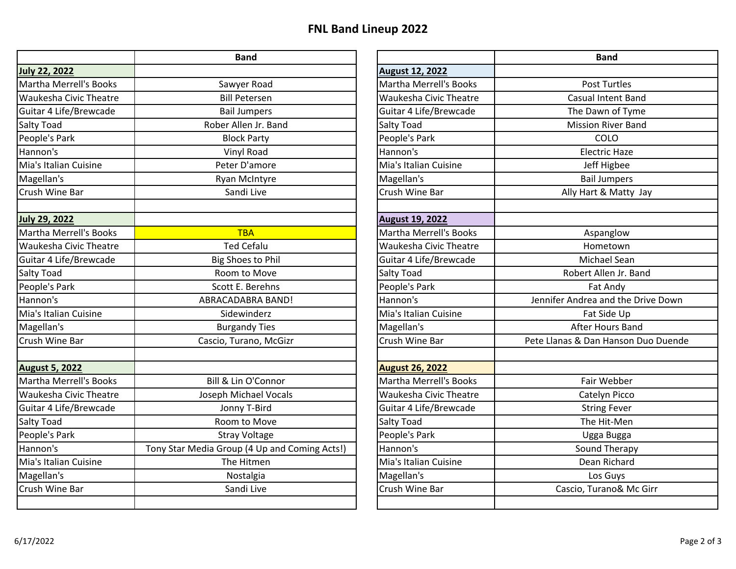## **FNL Band Lineup 2022**

|                               | <b>Band</b>                                   |                               | <b>Band</b>                         |
|-------------------------------|-----------------------------------------------|-------------------------------|-------------------------------------|
| <b>July 22, 2022</b>          |                                               | <b>August 12, 2022</b>        |                                     |
| Martha Merrell's Books        | Sawyer Road                                   | <b>Martha Merrell's Books</b> | <b>Post Turtles</b>                 |
| <b>Waukesha Civic Theatre</b> | <b>Bill Petersen</b>                          | Waukesha Civic Theatre        | <b>Casual Intent Band</b>           |
| Guitar 4 Life/Brewcade        | <b>Bail Jumpers</b>                           | Guitar 4 Life/Brewcade        | The Dawn of Tyme                    |
| <b>Salty Toad</b>             | Rober Allen Jr. Band                          | Salty Toad                    | <b>Mission River Band</b>           |
| People's Park                 | <b>Block Party</b>                            | People's Park                 | COLO                                |
| Hannon's                      | Vinyl Road                                    | Hannon's                      | <b>Electric Haze</b>                |
| Mia's Italian Cuisine         | Peter D'amore                                 | Mia's Italian Cuisine         | Jeff Higbee                         |
| Magellan's                    | <b>Ryan McIntyre</b>                          | Magellan's                    | <b>Bail Jumpers</b>                 |
| <b>Crush Wine Bar</b>         | Sandi Live                                    | Crush Wine Bar                | Ally Hart & Matty Jay               |
| <b>July 29, 2022</b>          |                                               | <b>August 19, 2022</b>        |                                     |
| Martha Merrell's Books        | <b>TBA</b>                                    | <b>Martha Merrell's Books</b> | Aspanglow                           |
| <b>Waukesha Civic Theatre</b> | <b>Ted Cefalu</b>                             | <b>Waukesha Civic Theatre</b> | Hometown                            |
| Guitar 4 Life/Brewcade        | <b>Big Shoes to Phil</b>                      | Guitar 4 Life/Brewcade        | Michael Sean                        |
| <b>Salty Toad</b>             | Room to Move                                  | Salty Toad                    | Robert Allen Jr. Band               |
| People's Park                 | Scott E. Berehns                              | People's Park                 | Fat Andy                            |
| Hannon's                      | ABRACADABRA BAND!                             | Hannon's                      | Jennifer Andrea and the Drive Down  |
| Mia's Italian Cuisine         | Sidewinderz                                   | Mia's Italian Cuisine         | Fat Side Up                         |
| Magellan's                    | <b>Burgandy Ties</b>                          | Magellan's                    | After Hours Band                    |
| <b>Crush Wine Bar</b>         | Cascio, Turano, McGizr                        | Crush Wine Bar                | Pete Llanas & Dan Hanson Duo Duende |
| <b>August 5, 2022</b>         |                                               | <b>August 26, 2022</b>        |                                     |
| Martha Merrell's Books        | Bill & Lin O'Connor                           | <b>Martha Merrell's Books</b> | Fair Webber                         |
| <b>Waukesha Civic Theatre</b> | Joseph Michael Vocals                         | <b>Waukesha Civic Theatre</b> | Catelyn Picco                       |
| Guitar 4 Life/Brewcade        | Jonny T-Bird                                  | Guitar 4 Life/Brewcade        | <b>String Fever</b>                 |
| Salty Toad                    | Room to Move                                  | Salty Toad                    | The Hit-Men                         |
| People's Park                 | <b>Stray Voltage</b>                          | People's Park                 | Ugga Bugga                          |
| Hannon's                      | Tony Star Media Group (4 Up and Coming Acts!) | Hannon's                      | Sound Therapy                       |
| Mia's Italian Cuisine         | The Hitmen                                    | Mia's Italian Cuisine         | Dean Richard                        |
| Magellan's                    | Nostalgia                                     | Magellan's                    | Los Guys                            |
| Crush Wine Bar                | Sandi Live                                    | Crush Wine Bar                | Cascio, Turano& Mc Girr             |
|                               |                                               |                               |                                     |

| <b>Band</b>                |                               | <b>Band</b>                         |
|----------------------------|-------------------------------|-------------------------------------|
|                            | <b>August 12, 2022</b>        |                                     |
| yer Road                   | <b>Martha Merrell's Books</b> | <b>Post Turtles</b>                 |
| Petersen                   | <b>Waukesha Civic Theatre</b> | <b>Casual Intent Band</b>           |
| Jumpers                    | Guitar 4 Life/Brewcade        | The Dawn of Tyme                    |
| Ilen Jr. Band              | Salty Toad                    | <b>Mission River Band</b>           |
| ck Party                   | People's Park                 | COLO                                |
| lyl Road                   | Hannon's                      | <b>Electric Haze</b>                |
| r D'amore                  | Mia's Italian Cuisine         | Jeff Higbee                         |
| McIntyre                   | Magellan's                    | <b>Bail Jumpers</b>                 |
| ndi Live                   | Crush Wine Bar                | Ally Hart & Matty Jay               |
|                            |                               |                                     |
|                            | <b>August 19, 2022</b>        |                                     |
| <b>TBA</b>                 | <b>Martha Merrell's Books</b> | Aspanglow                           |
| d Cefalu                   | <b>Waukesha Civic Theatre</b> | Hometown                            |
| oes to Phil                | Guitar 4 Life/Brewcade        | Michael Sean                        |
| n to Move                  | Salty Toad                    | Robert Allen Jr. Band               |
| E. Berehns                 | People's Park                 | Fat Andy                            |
| DABRA BAND!                | Hannon's                      | Jennifer Andrea and the Drive Down  |
| ewinderz                   | Mia's Italian Cuisine         | Fat Side Up                         |
| andy Ties                  | Magellan's                    | After Hours Band                    |
| urano, McGizr              | Crush Wine Bar                | Pete Llanas & Dan Hanson Duo Duende |
|                            | <b>August 26, 2022</b>        |                                     |
| in O'Connor                | <b>Martha Merrell's Books</b> | Fair Webber                         |
| <b>Michael Vocals</b>      | <b>Waukesha Civic Theatre</b> | Catelyn Picco                       |
| ny T-Bird                  | Guitar 4 Life/Brewcade        | <b>String Fever</b>                 |
| n to Move                  | Salty Toad                    | The Hit-Men                         |
| y Voltage                  | People's Park                 | Ugga Bugga                          |
| ip (4 Up and Coming Acts!) | Hannon's                      | Sound Therapy                       |
| Hitmen                     | Mia's Italian Cuisine         | Dean Richard                        |
| ostalgia                   | Magellan's                    | Los Guys                            |
| ndi Live                   | Crush Wine Bar                | Cascio, Turano& Mc Girr             |
|                            |                               |                                     |